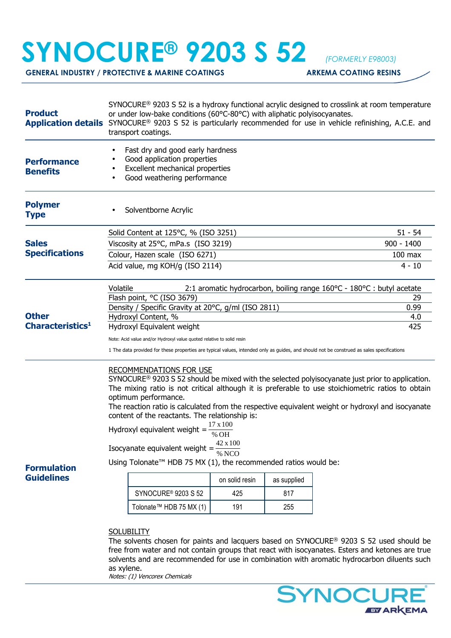## **SYNOCURE® 9203 S 52** *(FORMERLY E98003)*

**GENERAL INDUSTRY / PROTECTIVE & MARINE COATINGS ARKEMA COATING RESINS** 

| <b>Product</b><br><b>Application details</b> | SYNOCURE <sup>®</sup> 9203 S 52 is a hydroxy functional acrylic designed to crosslink at room temperature<br>or under low-bake conditions (60°C-80°C) with aliphatic polyisocyanates.<br>SYNOCURE <sup>®</sup> 9203 S 52 is particularly recommended for use in vehicle refinishing, A.C.E. and<br>transport coatings.                                      |                              |                           |                                                                                                                                                                                                                                                                                                                                                                                                                                                                                                                     |  |
|----------------------------------------------|-------------------------------------------------------------------------------------------------------------------------------------------------------------------------------------------------------------------------------------------------------------------------------------------------------------------------------------------------------------|------------------------------|---------------------------|---------------------------------------------------------------------------------------------------------------------------------------------------------------------------------------------------------------------------------------------------------------------------------------------------------------------------------------------------------------------------------------------------------------------------------------------------------------------------------------------------------------------|--|
| <b>Performance</b><br><b>Benefits</b>        | Fast dry and good early hardness<br>Good application properties<br>Excellent mechanical properties<br>Good weathering performance                                                                                                                                                                                                                           |                              |                           |                                                                                                                                                                                                                                                                                                                                                                                                                                                                                                                     |  |
| <b>Polymer</b><br><b>Type</b>                | Solventborne Acrylic                                                                                                                                                                                                                                                                                                                                        |                              |                           |                                                                                                                                                                                                                                                                                                                                                                                                                                                                                                                     |  |
| <b>Sales</b><br><b>Specifications</b>        | Solid Content at 125°C, % (ISO 3251)                                                                                                                                                                                                                                                                                                                        | $51 - 54$                    |                           |                                                                                                                                                                                                                                                                                                                                                                                                                                                                                                                     |  |
|                                              | Viscosity at 25°C, mPa.s (ISO 3219)                                                                                                                                                                                                                                                                                                                         | $900 - 1400$                 |                           |                                                                                                                                                                                                                                                                                                                                                                                                                                                                                                                     |  |
|                                              | Colour, Hazen scale (ISO 6271)                                                                                                                                                                                                                                                                                                                              | $100$ max                    |                           |                                                                                                                                                                                                                                                                                                                                                                                                                                                                                                                     |  |
|                                              | Acid value, mg KOH/g (ISO 2114)                                                                                                                                                                                                                                                                                                                             | $\overline{4}$ - 10          |                           |                                                                                                                                                                                                                                                                                                                                                                                                                                                                                                                     |  |
|                                              | Volatile<br>2:1 aromatic hydrocarbon, boiling range 160°C - 180°C : butyl acetate                                                                                                                                                                                                                                                                           |                              |                           |                                                                                                                                                                                                                                                                                                                                                                                                                                                                                                                     |  |
| <b>Other</b><br>Characteristics <sup>1</sup> | Flash point, °C (ISO 3679)                                                                                                                                                                                                                                                                                                                                  | 29                           |                           |                                                                                                                                                                                                                                                                                                                                                                                                                                                                                                                     |  |
|                                              | Density / Specific Gravity at 20°C, g/ml (ISO 2811)                                                                                                                                                                                                                                                                                                         | 0.99                         |                           |                                                                                                                                                                                                                                                                                                                                                                                                                                                                                                                     |  |
|                                              | Hydroxyl Content, %                                                                                                                                                                                                                                                                                                                                         | 4.0<br>425                   |                           |                                                                                                                                                                                                                                                                                                                                                                                                                                                                                                                     |  |
|                                              | Hydroxyl Equivalent weight                                                                                                                                                                                                                                                                                                                                  |                              |                           |                                                                                                                                                                                                                                                                                                                                                                                                                                                                                                                     |  |
|                                              | Note: Acid value and/or Hydroxyl value quoted relative to solid resin<br>1 The data provided for these properties are typical values, intended only as guides, and should not be construed as sales specifications                                                                                                                                          |                              |                           |                                                                                                                                                                                                                                                                                                                                                                                                                                                                                                                     |  |
| <b>Formulation</b><br><b>Guidelines</b>      | RECOMMENDATIONS FOR USE<br>optimum performance.<br>content of the reactants. The relationship is:<br>Hydroxyl equivalent weight = $\frac{17 \times 100}{\% \text{ OH}}$<br>Using Tolonate <sup>™</sup> HDB 75 MX (1), the recommended ratios would be:<br><b>SYNOCURE<sup>®</sup> 9203 S 52</b><br>Tolonate <sup>™</sup> HDB 75 MX (1)<br><b>SOLUBILITY</b> | on solid resin<br>425<br>191 | as supplied<br>817<br>255 | SYNOCURE <sup>®</sup> 9203 S 52 should be mixed with the selected polyisocyanate just prior to application.<br>The mixing ratio is not critical although it is preferable to use stoichiometric ratios to obtain<br>The reaction ratio is calculated from the respective equivalent weight or hydroxyl and isocyanate<br>The solvents chosen for paints and lacquers based on SYNOCURE® 9203 S 52 used should be<br>free from water and not contain groups that react with isocyanates. Esters and ketones are true |  |
|                                              | solvents and are recommended for use in combination with aromatic hydrocarbon diluents such<br>as xylene.                                                                                                                                                                                                                                                   |                              |                           |                                                                                                                                                                                                                                                                                                                                                                                                                                                                                                                     |  |

Notes: (1) Vencorex Chemicals